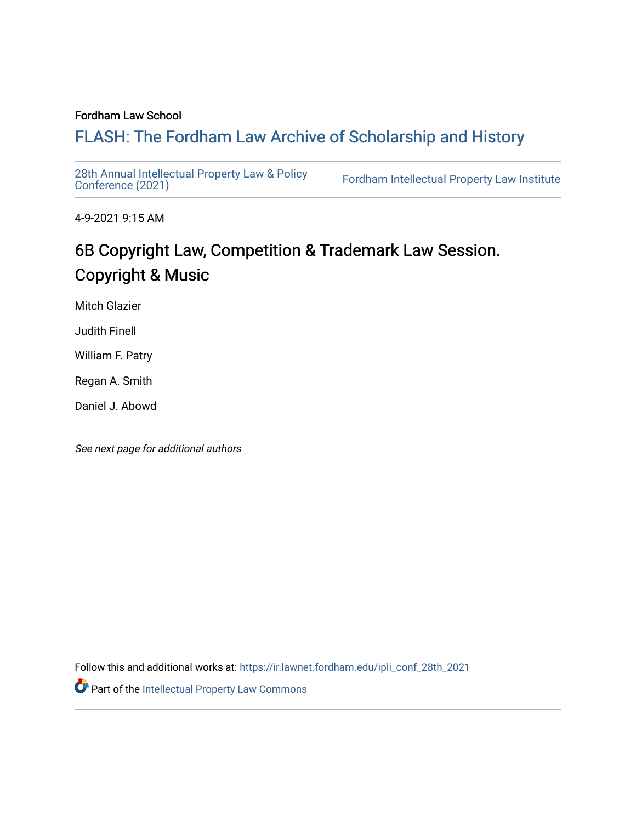#### Fordham Law School

## FLASH: The For[dham Law Archive of Scholarship and Hist](https://ir.lawnet.fordham.edu/)ory

[28th Annual Intellectual Property Law & Policy](https://ir.lawnet.fordham.edu/ipli_conf_28th_2021)<br>Conference (2021)

Fordham Intellectual Property Law Institute

4-9-2021 9:15 AM

# 6B Copyright Law, Competition & Trademark Law Session. Copyright & Music

Mitch Glazier

Judith Finell

William F. Patry

Regan A. Smith

Daniel J. Abowd

See next page for additional authors

Follow this and additional works at: [https://ir.lawnet.fordham.edu/ipli\\_conf\\_28th\\_2021](https://ir.lawnet.fordham.edu/ipli_conf_28th_2021?utm_source=ir.lawnet.fordham.edu%2Fipli_conf_28th_2021%2F18&utm_medium=PDF&utm_campaign=PDFCoverPages) 

Part of the [Intellectual Property Law Commons](http://network.bepress.com/hgg/discipline/896?utm_source=ir.lawnet.fordham.edu%2Fipli_conf_28th_2021%2F18&utm_medium=PDF&utm_campaign=PDFCoverPages)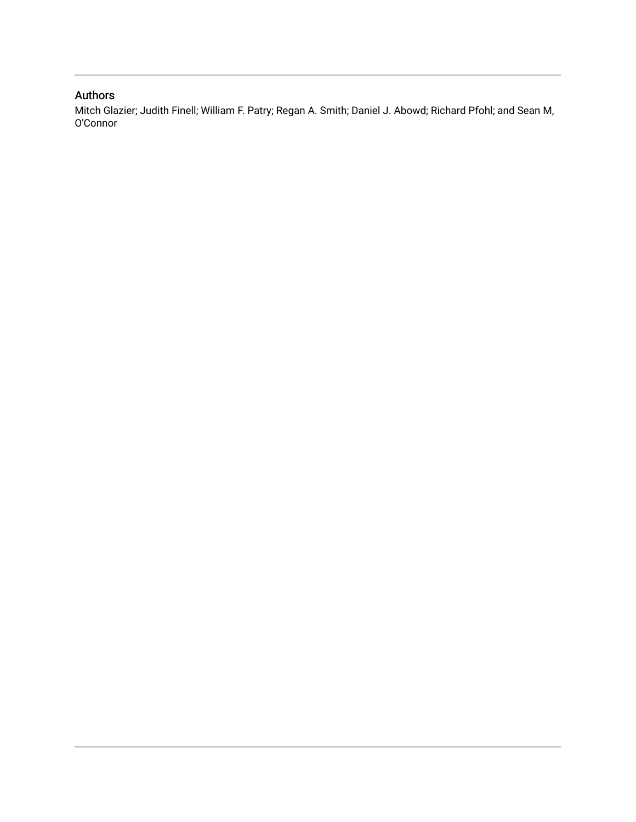### Authors

Mitch Glazier; Judith Finell; William F. Patry; Regan A. Smith; Daniel J. Abowd; Richard Pfohl; and Sean M, O'Connor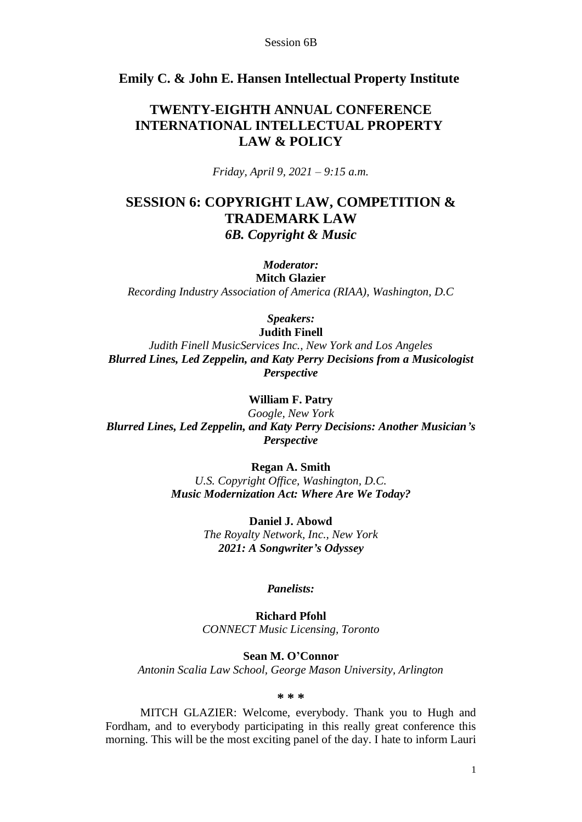#### **Emily C. & John E. Hansen Intellectual Property Institute**

## **TWENTY-EIGHTH ANNUAL CONFERENCE INTERNATIONAL INTELLECTUAL PROPERTY LAW & POLICY**

*Friday, April 9, 2021 – 9:15 a.m.*

## **SESSION 6: COPYRIGHT LAW, COMPETITION & TRADEMARK LAW** *6B. Copyright & Music*

#### *Moderator:*

**Mitch Glazier** *Recording Industry Association of America (RIAA), Washington, D.C* 

*Speakers:*

**Judith Finell** *Judith Finell MusicServices Inc., New York and Los Angeles Blurred Lines, Led Zeppelin, and Katy Perry Decisions from a Musicologist Perspective*

**William F. Patry**

*Google, New York Blurred Lines, Led Zeppelin, and Katy Perry Decisions: Another Musician's Perspective*

> **Regan A. Smith** *U.S. Copyright Office, Washington, D.C. Music Modernization Act: Where Are We Today?*

> > **Daniel J. Abowd** *The Royalty Network, Inc., New York 2021: A Songwriter's Odyssey*

#### *Panelists:*

**Richard Pfohl** *CONNECT Music Licensing, Toronto*

**Sean M. O'Connor** *Antonin Scalia Law School, George Mason University, Arlington*

**\* \* \***

MITCH GLAZIER: Welcome, everybody. Thank you to Hugh and Fordham, and to everybody participating in this really great conference this morning. This will be the most exciting panel of the day. I hate to inform Lauri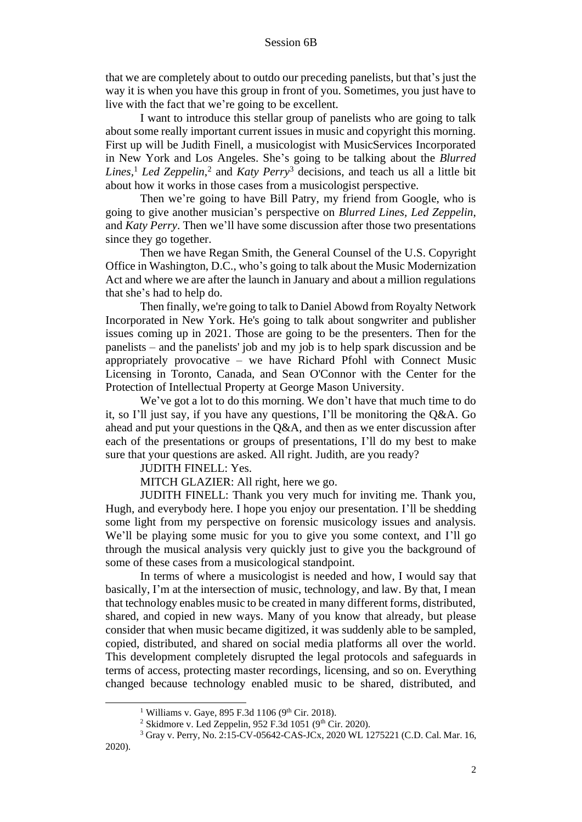that we are completely about to outdo our preceding panelists, but that's just the way it is when you have this group in front of you. Sometimes, you just have to live with the fact that we're going to be excellent.

I want to introduce this stellar group of panelists who are going to talk about some really important current issues in music and copyright this morning. First up will be Judith Finell, a musicologist with MusicServices Incorporated in New York and Los Angeles. She's going to be talking about the *Blurred Lines,*<sup>1</sup> *Led Zeppelin*, 2 and *Katy Perry*<sup>3</sup> decisions, and teach us all a little bit about how it works in those cases from a musicologist perspective.

Then we're going to have Bill Patry, my friend from Google, who is going to give another musician's perspective on *Blurred Lines, Led Zeppelin*, and *Katy Perry*. Then we'll have some discussion after those two presentations since they go together.

Then we have Regan Smith, the General Counsel of the U.S. Copyright Office in Washington, D.C., who's going to talk about the Music Modernization Act and where we are after the launch in January and about a million regulations that she's had to help do.

Then finally, we're going to talk to Daniel Abowd from Royalty Network Incorporated in New York. He's going to talk about songwriter and publisher issues coming up in 2021. Those are going to be the presenters. Then for the panelists – and the panelists' job and my job is to help spark discussion and be appropriately provocative – we have Richard Pfohl with Connect Music Licensing in Toronto, Canada, and Sean O'Connor with the Center for the Protection of Intellectual Property at George Mason University.

We've got a lot to do this morning. We don't have that much time to do it, so I'll just say, if you have any questions, I'll be monitoring the Q&A. Go ahead and put your questions in the Q&A, and then as we enter discussion after each of the presentations or groups of presentations, I'll do my best to make sure that your questions are asked. All right. Judith, are you ready?

JUDITH FINELL: Yes.

MITCH GLAZIER: All right, here we go.

JUDITH FINELL: Thank you very much for inviting me. Thank you, Hugh, and everybody here. I hope you enjoy our presentation. I'll be shedding some light from my perspective on forensic musicology issues and analysis. We'll be playing some music for you to give you some context, and I'll go through the musical analysis very quickly just to give you the background of some of these cases from a musicological standpoint.

In terms of where a musicologist is needed and how, I would say that basically, I'm at the intersection of music, technology, and law. By that, I mean that technology enables music to be created in many different forms, distributed, shared, and copied in new ways. Many of you know that already, but please consider that when music became digitized, it was suddenly able to be sampled, copied, distributed, and shared on social media platforms all over the world. This development completely disrupted the legal protocols and safeguards in terms of access, protecting master recordings, licensing, and so on. Everything changed because technology enabled music to be shared, distributed, and

 $1$  Williams v. Gave, 895 F.3d 1106 (9<sup>th</sup> Cir. 2018).

<sup>&</sup>lt;sup>2</sup> Skidmore v. Led Zeppelin, 952 F.3d 1051 (9<sup>th</sup> Cir. 2020).

<sup>3</sup> Gray v. Perry, No. 2:15-CV-05642-CAS-JCx, 2020 WL 1275221 (C.D. Cal. Mar. 16,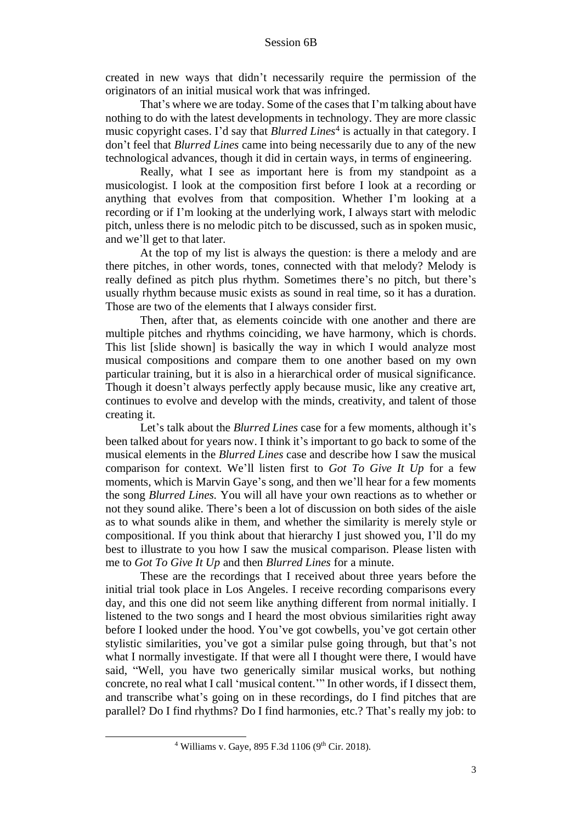created in new ways that didn't necessarily require the permission of the originators of an initial musical work that was infringed.

That's where we are today. Some of the cases that I'm talking about have nothing to do with the latest developments in technology. They are more classic music copyright cases. I'd say that *Blurred Lines*<sup>4</sup> is actually in that category. I don't feel that *Blurred Lines* came into being necessarily due to any of the new technological advances, though it did in certain ways, in terms of engineering.

Really, what I see as important here is from my standpoint as a musicologist. I look at the composition first before I look at a recording or anything that evolves from that composition. Whether I'm looking at a recording or if I'm looking at the underlying work, I always start with melodic pitch, unless there is no melodic pitch to be discussed, such as in spoken music, and we'll get to that later.

At the top of my list is always the question: is there a melody and are there pitches, in other words, tones, connected with that melody? Melody is really defined as pitch plus rhythm. Sometimes there's no pitch, but there's usually rhythm because music exists as sound in real time, so it has a duration. Those are two of the elements that I always consider first.

Then, after that, as elements coincide with one another and there are multiple pitches and rhythms coinciding, we have harmony, which is chords. This list [slide shown] is basically the way in which I would analyze most musical compositions and compare them to one another based on my own particular training, but it is also in a hierarchical order of musical significance. Though it doesn't always perfectly apply because music, like any creative art, continues to evolve and develop with the minds, creativity, and talent of those creating it.

Let's talk about the *Blurred Lines* case for a few moments, although it's been talked about for years now. I think it's important to go back to some of the musical elements in the *Blurred Lines* case and describe how I saw the musical comparison for context. We'll listen first to *Got To Give It Up* for a few moments, which is Marvin Gaye's song, and then we'll hear for a few moments the song *Blurred Lines.* You will all have your own reactions as to whether or not they sound alike. There's been a lot of discussion on both sides of the aisle as to what sounds alike in them, and whether the similarity is merely style or compositional. If you think about that hierarchy I just showed you, I'll do my best to illustrate to you how I saw the musical comparison. Please listen with me to *Got To Give It Up* and then *Blurred Lines* for a minute.

These are the recordings that I received about three years before the initial trial took place in Los Angeles. I receive recording comparisons every day, and this one did not seem like anything different from normal initially. I listened to the two songs and I heard the most obvious similarities right away before I looked under the hood. You've got cowbells, you've got certain other stylistic similarities, you've got a similar pulse going through, but that's not what I normally investigate. If that were all I thought were there, I would have said, "Well, you have two generically similar musical works, but nothing concrete, no real what I call 'musical content.'" In other words, if I dissect them, and transcribe what's going on in these recordings, do I find pitches that are parallel? Do I find rhythms? Do I find harmonies, etc.? That's really my job: to

 $4$  Williams v. Gaye, 895 F.3d 1106 (9<sup>th</sup> Cir. 2018).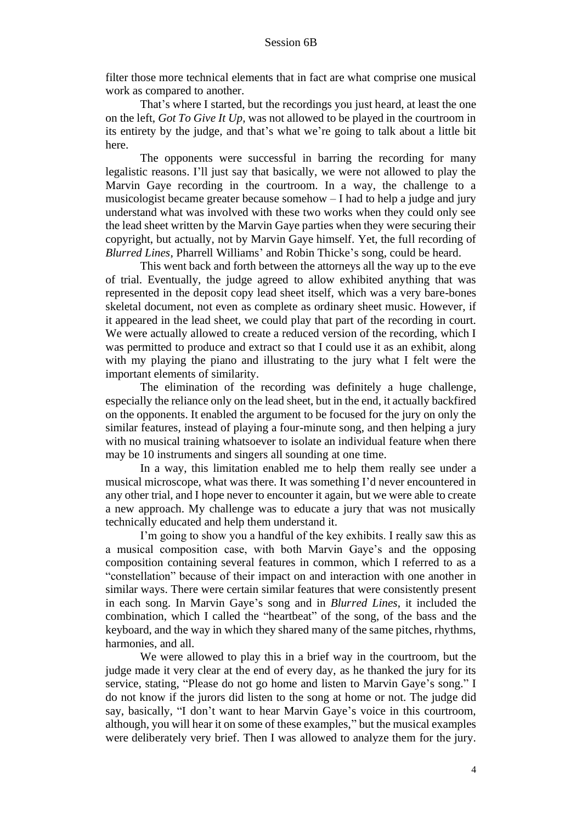filter those more technical elements that in fact are what comprise one musical work as compared to another.

That's where I started, but the recordings you just heard, at least the one on the left, *Got To Give It Up,* was not allowed to be played in the courtroom in its entirety by the judge, and that's what we're going to talk about a little bit here.

The opponents were successful in barring the recording for many legalistic reasons. I'll just say that basically, we were not allowed to play the Marvin Gaye recording in the courtroom. In a way, the challenge to a musicologist became greater because somehow – I had to help a judge and jury understand what was involved with these two works when they could only see the lead sheet written by the Marvin Gaye parties when they were securing their copyright, but actually, not by Marvin Gaye himself. Yet, the full recording of *Blurred Lines*, Pharrell Williams' and Robin Thicke's song, could be heard.

This went back and forth between the attorneys all the way up to the eve of trial. Eventually, the judge agreed to allow exhibited anything that was represented in the deposit copy lead sheet itself, which was a very bare-bones skeletal document, not even as complete as ordinary sheet music. However, if it appeared in the lead sheet, we could play that part of the recording in court. We were actually allowed to create a reduced version of the recording, which I was permitted to produce and extract so that I could use it as an exhibit, along with my playing the piano and illustrating to the jury what I felt were the important elements of similarity.

The elimination of the recording was definitely a huge challenge, especially the reliance only on the lead sheet, but in the end, it actually backfired on the opponents. It enabled the argument to be focused for the jury on only the similar features, instead of playing a four-minute song, and then helping a jury with no musical training whatsoever to isolate an individual feature when there may be 10 instruments and singers all sounding at one time.

In a way, this limitation enabled me to help them really see under a musical microscope, what was there. It was something I'd never encountered in any other trial, and I hope never to encounter it again, but we were able to create a new approach. My challenge was to educate a jury that was not musically technically educated and help them understand it.

I'm going to show you a handful of the key exhibits. I really saw this as a musical composition case, with both Marvin Gaye's and the opposing composition containing several features in common, which I referred to as a "constellation" because of their impact on and interaction with one another in similar ways. There were certain similar features that were consistently present in each song. In Marvin Gaye's song and in *Blurred Lines*, it included the combination, which I called the "heartbeat" of the song, of the bass and the keyboard, and the way in which they shared many of the same pitches, rhythms, harmonies, and all.

We were allowed to play this in a brief way in the courtroom, but the judge made it very clear at the end of every day, as he thanked the jury for its service, stating, "Please do not go home and listen to Marvin Gaye's song." I do not know if the jurors did listen to the song at home or not. The judge did say, basically, "I don't want to hear Marvin Gaye's voice in this courtroom, although, you will hear it on some of these examples," but the musical examples were deliberately very brief. Then I was allowed to analyze them for the jury.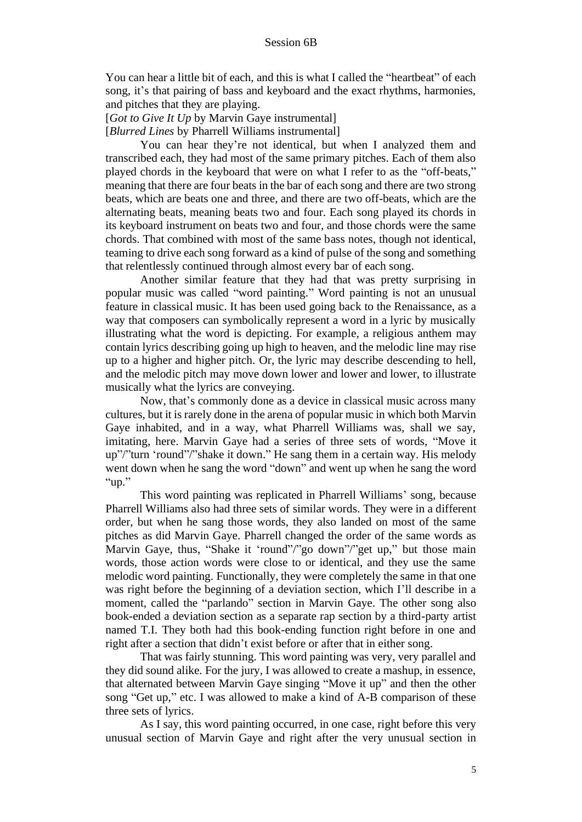You can hear a little bit of each, and this is what I called the "heartbeat" of each song, it's that pairing of bass and keyboard and the exact rhythms, harmonies, and pitches that they are playing.

[*Got to Give It Up* by Marvin Gaye instrumental]

[*Blurred Lines* by Pharrell Williams instrumental]

You can hear they're not identical, but when I analyzed them and transcribed each, they had most of the same primary pitches. Each of them also played chords in the keyboard that were on what I refer to as the "off-beats," meaning that there are four beats in the bar of each song and there are two strong beats, which are beats one and three, and there are two off-beats, which are the alternating beats, meaning beats two and four. Each song played its chords in its keyboard instrument on beats two and four, and those chords were the same chords. That combined with most of the same bass notes, though not identical, teaming to drive each song forward as a kind of pulse of the song and something that relentlessly continued through almost every bar of each song.

Another similar feature that they had that was pretty surprising in popular music was called "word painting." Word painting is not an unusual feature in classical music. It has been used going back to the Renaissance, as a way that composers can symbolically represent a word in a lyric by musically illustrating what the word is depicting. For example, a religious anthem may contain lyrics describing going up high to heaven, and the melodic line may rise up to a higher and higher pitch. Or, the lyric may describe descending to hell, and the melodic pitch may move down lower and lower and lower, to illustrate musically what the lyrics are conveying.

Now, that's commonly done as a device in classical music across many cultures, but it is rarely done in the arena of popular music in which both Marvin Gaye inhabited, and in a way, what Pharrell Williams was, shall we say, imitating, here. Marvin Gaye had a series of three sets of words, "Move it up"/"turn 'round"/"shake it down." He sang them in a certain way. His melody went down when he sang the word "down" and went up when he sang the word "up."

This word painting was replicated in Pharrell Williams' song, because Pharrell Williams also had three sets of similar words. They were in a different order, but when he sang those words, they also landed on most of the same pitches as did Marvin Gaye. Pharrell changed the order of the same words as Marvin Gaye, thus, "Shake it 'round"/"go down"/"get up," but those main words, those action words were close to or identical, and they use the same melodic word painting. Functionally, they were completely the same in that one was right before the beginning of a deviation section, which I'll describe in a moment, called the "parlando" section in Marvin Gaye. The other song also book-ended a deviation section as a separate rap section by a third-party artist named T.I. They both had this book-ending function right before in one and right after a section that didn't exist before or after that in either song.

That was fairly stunning. This word painting was very, very parallel and they did sound alike. For the jury, I was allowed to create a mashup, in essence, that alternated between Marvin Gaye singing "Move it up" and then the other song "Get up," etc. I was allowed to make a kind of A-B comparison of these three sets of lyrics.

As I say, this word painting occurred, in one case, right before this very unusual section of Marvin Gaye and right after the very unusual section in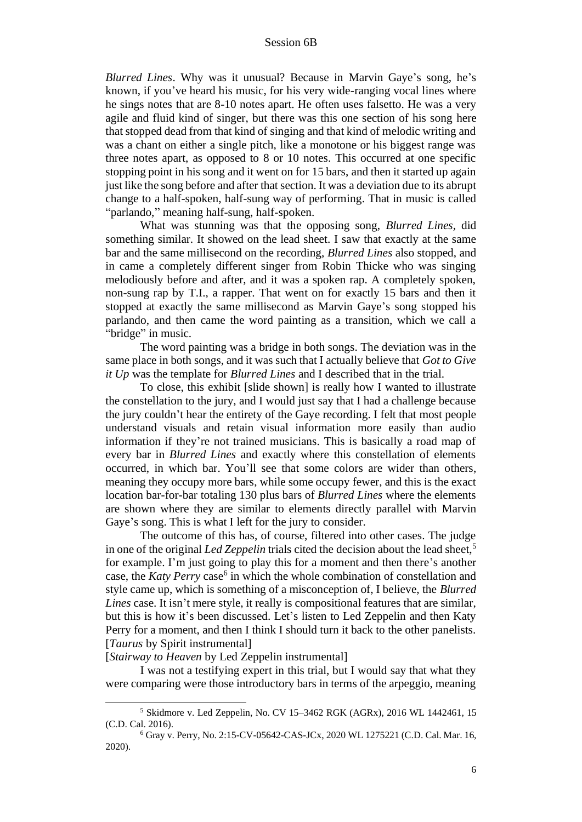*Blurred Lines*. Why was it unusual? Because in Marvin Gaye's song, he's known, if you've heard his music, for his very wide-ranging vocal lines where he sings notes that are 8-10 notes apart. He often uses falsetto. He was a very agile and fluid kind of singer, but there was this one section of his song here that stopped dead from that kind of singing and that kind of melodic writing and was a chant on either a single pitch, like a monotone or his biggest range was three notes apart, as opposed to 8 or 10 notes. This occurred at one specific stopping point in his song and it went on for 15 bars, and then it started up again just like the song before and after that section. It was a deviation due to its abrupt change to a half-spoken, half-sung way of performing. That in music is called "parlando," meaning half-sung, half-spoken.

What was stunning was that the opposing song, *Blurred Lines,* did something similar. It showed on the lead sheet. I saw that exactly at the same bar and the same millisecond on the recording, *Blurred Lines* also stopped, and in came a completely different singer from Robin Thicke who was singing melodiously before and after, and it was a spoken rap. A completely spoken, non-sung rap by T.I., a rapper. That went on for exactly 15 bars and then it stopped at exactly the same millisecond as Marvin Gaye's song stopped his parlando, and then came the word painting as a transition, which we call a "bridge" in music.

The word painting was a bridge in both songs. The deviation was in the same place in both songs, and it was such that I actually believe that *Got to Give it Up* was the template for *Blurred Lines* and I described that in the trial.

To close, this exhibit [slide shown] is really how I wanted to illustrate the constellation to the jury, and I would just say that I had a challenge because the jury couldn't hear the entirety of the Gaye recording. I felt that most people understand visuals and retain visual information more easily than audio information if they're not trained musicians. This is basically a road map of every bar in *Blurred Lines* and exactly where this constellation of elements occurred, in which bar. You'll see that some colors are wider than others, meaning they occupy more bars, while some occupy fewer, and this is the exact location bar-for-bar totaling 130 plus bars of *Blurred Lines* where the elements are shown where they are similar to elements directly parallel with Marvin Gaye's song. This is what I left for the jury to consider.

The outcome of this has, of course, filtered into other cases. The judge in one of the original *Led Zeppelin* trials cited the decision about the lead sheet, 5 for example. I'm just going to play this for a moment and then there's another case, the *Katy Perry* case<sup>6</sup> in which the whole combination of constellation and style came up, which is something of a misconception of, I believe, the *Blurred Lines* case. It isn't mere style, it really is compositional features that are similar, but this is how it's been discussed. Let's listen to Led Zeppelin and then Katy Perry for a moment, and then I think I should turn it back to the other panelists. [*Taurus* by Spirit instrumental]

[*Stairway to Heaven* by Led Zeppelin instrumental]

I was not a testifying expert in this trial, but I would say that what they were comparing were those introductory bars in terms of the arpeggio, meaning

<sup>5</sup> Skidmore v. Led Zeppelin, No. CV 15–3462 RGK (AGRx), 2016 WL 1442461, 15 (C.D. Cal. 2016).

<sup>6</sup> Gray v. Perry, No. 2:15-CV-05642-CAS-JCx, 2020 WL 1275221 (C.D. Cal. Mar. 16, 2020).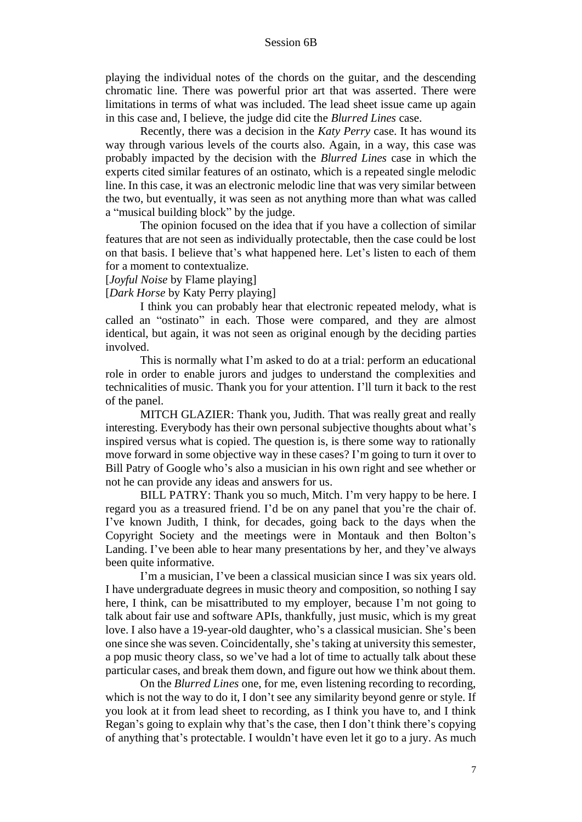playing the individual notes of the chords on the guitar, and the descending chromatic line. There was powerful prior art that was asserted. There were limitations in terms of what was included. The lead sheet issue came up again in this case and, I believe, the judge did cite the *Blurred Lines* case.

Recently, there was a decision in the *Katy Perry* case. It has wound its way through various levels of the courts also. Again, in a way, this case was probably impacted by the decision with the *Blurred Lines* case in which the experts cited similar features of an ostinato, which is a repeated single melodic line. In this case, it was an electronic melodic line that was very similar between the two, but eventually, it was seen as not anything more than what was called a "musical building block" by the judge.

The opinion focused on the idea that if you have a collection of similar features that are not seen as individually protectable, then the case could be lost on that basis. I believe that's what happened here. Let's listen to each of them for a moment to contextualize.

#### [*Joyful Noise* by Flame playing]

[*Dark Horse* by Katy Perry playing]

I think you can probably hear that electronic repeated melody, what is called an "ostinato" in each. Those were compared, and they are almost identical, but again, it was not seen as original enough by the deciding parties involved.

This is normally what I'm asked to do at a trial: perform an educational role in order to enable jurors and judges to understand the complexities and technicalities of music. Thank you for your attention. I'll turn it back to the rest of the panel.

MITCH GLAZIER: Thank you, Judith. That was really great and really interesting. Everybody has their own personal subjective thoughts about what's inspired versus what is copied. The question is, is there some way to rationally move forward in some objective way in these cases? I'm going to turn it over to Bill Patry of Google who's also a musician in his own right and see whether or not he can provide any ideas and answers for us.

BILL PATRY: Thank you so much, Mitch. I'm very happy to be here. I regard you as a treasured friend. I'd be on any panel that you're the chair of. I've known Judith, I think, for decades, going back to the days when the Copyright Society and the meetings were in Montauk and then Bolton's Landing. I've been able to hear many presentations by her, and they've always been quite informative.

I'm a musician, I've been a classical musician since I was six years old. I have undergraduate degrees in music theory and composition, so nothing I say here, I think, can be misattributed to my employer, because I'm not going to talk about fair use and software APIs, thankfully, just music, which is my great love. I also have a 19-year-old daughter, who's a classical musician. She's been one since she was seven. Coincidentally, she's taking at university this semester, a pop music theory class, so we've had a lot of time to actually talk about these particular cases, and break them down, and figure out how we think about them.

On the *Blurred Lines* one, for me, even listening recording to recording, which is not the way to do it, I don't see any similarity beyond genre or style. If you look at it from lead sheet to recording, as I think you have to, and I think Regan's going to explain why that's the case, then I don't think there's copying of anything that's protectable. I wouldn't have even let it go to a jury. As much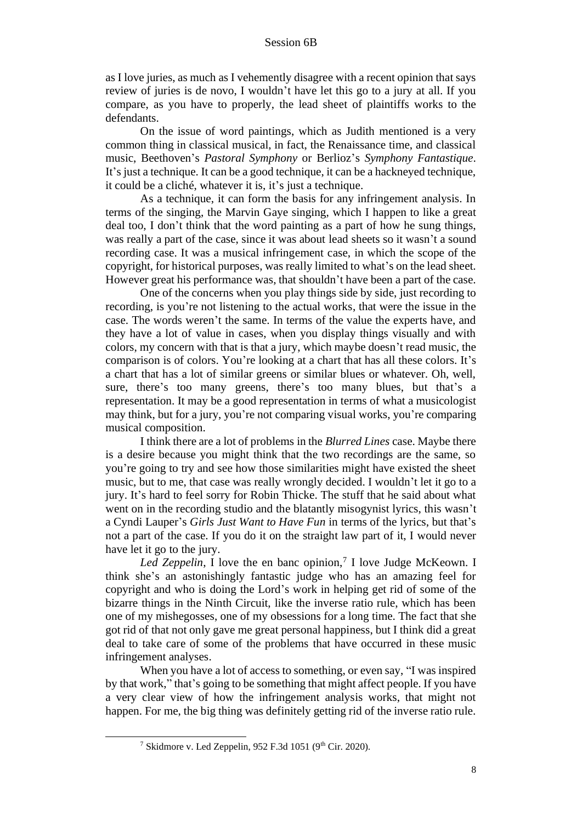as I love juries, as much as I vehemently disagree with a recent opinion that says review of juries is de novo, I wouldn't have let this go to a jury at all. If you compare, as you have to properly, the lead sheet of plaintiffs works to the defendants.

On the issue of word paintings, which as Judith mentioned is a very common thing in classical musical, in fact, the Renaissance time, and classical music, Beethoven's *Pastoral Symphony* or Berlioz's *Symphony Fantastique*. It's just a technique. It can be a good technique, it can be a hackneyed technique, it could be a cliché, whatever it is, it's just a technique.

As a technique, it can form the basis for any infringement analysis. In terms of the singing, the Marvin Gaye singing, which I happen to like a great deal too, I don't think that the word painting as a part of how he sung things, was really a part of the case, since it was about lead sheets so it wasn't a sound recording case. It was a musical infringement case, in which the scope of the copyright, for historical purposes, was really limited to what's on the lead sheet. However great his performance was, that shouldn't have been a part of the case.

One of the concerns when you play things side by side, just recording to recording, is you're not listening to the actual works, that were the issue in the case. The words weren't the same. In terms of the value the experts have, and they have a lot of value in cases, when you display things visually and with colors, my concern with that is that a jury, which maybe doesn't read music, the comparison is of colors. You're looking at a chart that has all these colors. It's a chart that has a lot of similar greens or similar blues or whatever. Oh, well, sure, there's too many greens, there's too many blues, but that's a representation. It may be a good representation in terms of what a musicologist may think, but for a jury, you're not comparing visual works, you're comparing musical composition.

I think there are a lot of problems in the *Blurred Lines* case. Maybe there is a desire because you might think that the two recordings are the same, so you're going to try and see how those similarities might have existed the sheet music, but to me, that case was really wrongly decided. I wouldn't let it go to a jury. It's hard to feel sorry for Robin Thicke. The stuff that he said about what went on in the recording studio and the blatantly misogynist lyrics, this wasn't a Cyndi Lauper's *Girls Just Want to Have Fun* in terms of the lyrics, but that's not a part of the case. If you do it on the straight law part of it, I would never have let it go to the jury.

Led Zeppelin, I love the en banc opinion,<sup>7</sup> I love Judge McKeown. I think she's an astonishingly fantastic judge who has an amazing feel for copyright and who is doing the Lord's work in helping get rid of some of the bizarre things in the Ninth Circuit, like the inverse ratio rule, which has been one of my mishegosses, one of my obsessions for a long time. The fact that she got rid of that not only gave me great personal happiness, but I think did a great deal to take care of some of the problems that have occurred in these music infringement analyses.

When you have a lot of access to something, or even say, "I was inspired by that work," that's going to be something that might affect people. If you have a very clear view of how the infringement analysis works, that might not happen. For me, the big thing was definitely getting rid of the inverse ratio rule.

<sup>&</sup>lt;sup>7</sup> Skidmore v. Led Zeppelin, 952 F.3d 1051 (9<sup>th</sup> Cir. 2020).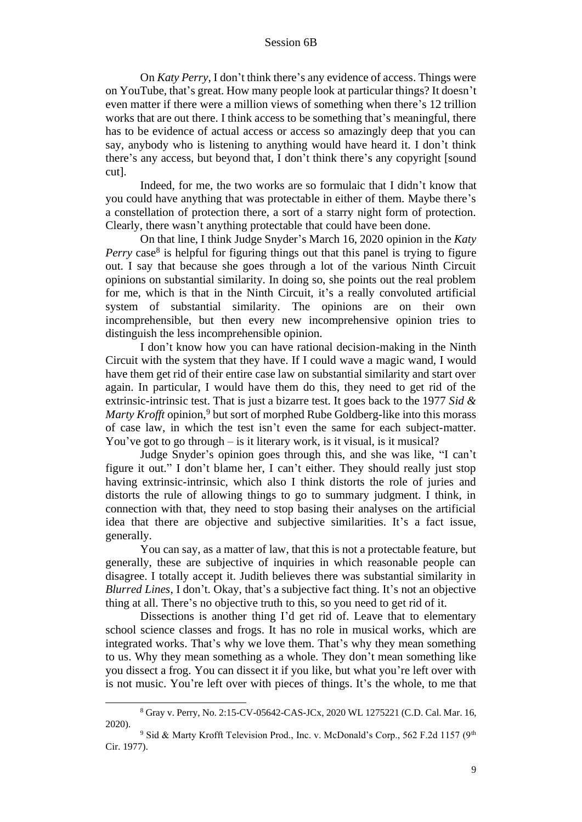On *Katy Perry*, I don't think there's any evidence of access. Things were on YouTube, that's great. How many people look at particular things? It doesn't even matter if there were a million views of something when there's 12 trillion works that are out there. I think access to be something that's meaningful, there has to be evidence of actual access or access so amazingly deep that you can say, anybody who is listening to anything would have heard it. I don't think there's any access, but beyond that, I don't think there's any copyright [sound cut].

Indeed, for me, the two works are so formulaic that I didn't know that you could have anything that was protectable in either of them. Maybe there's a constellation of protection there, a sort of a starry night form of protection. Clearly, there wasn't anything protectable that could have been done.

On that line, I think Judge Snyder's March 16, 2020 opinion in the *Katy*  Perry case<sup>8</sup> is helpful for figuring things out that this panel is trying to figure out. I say that because she goes through a lot of the various Ninth Circuit opinions on substantial similarity. In doing so, she points out the real problem for me, which is that in the Ninth Circuit, it's a really convoluted artificial system of substantial similarity. The opinions are on their own incomprehensible, but then every new incomprehensive opinion tries to distinguish the less incomprehensible opinion.

I don't know how you can have rational decision-making in the Ninth Circuit with the system that they have. If I could wave a magic wand, I would have them get rid of their entire case law on substantial similarity and start over again. In particular, I would have them do this, they need to get rid of the extrinsic-intrinsic test. That is just a bizarre test. It goes back to the 1977 *Sid & Marty Krofft* opinion,<sup>9</sup> but sort of morphed Rube Goldberg-like into this morass of case law, in which the test isn't even the same for each subject-matter. You've got to go through – is it literary work, is it visual, is it musical?

Judge Snyder's opinion goes through this, and she was like, "I can't figure it out." I don't blame her, I can't either. They should really just stop having extrinsic-intrinsic, which also I think distorts the role of juries and distorts the rule of allowing things to go to summary judgment. I think, in connection with that, they need to stop basing their analyses on the artificial idea that there are objective and subjective similarities. It's a fact issue, generally.

You can say, as a matter of law, that this is not a protectable feature, but generally, these are subjective of inquiries in which reasonable people can disagree. I totally accept it. Judith believes there was substantial similarity in *Blurred Lines*, I don't. Okay, that's a subjective fact thing. It's not an objective thing at all. There's no objective truth to this, so you need to get rid of it.

Dissections is another thing I'd get rid of. Leave that to elementary school science classes and frogs. It has no role in musical works, which are integrated works. That's why we love them. That's why they mean something to us. Why they mean something as a whole. They don't mean something like you dissect a frog. You can dissect it if you like, but what you're left over with is not music. You're left over with pieces of things. It's the whole, to me that

<sup>8</sup> Gray v. Perry, No. 2:15-CV-05642-CAS-JCx, 2020 WL 1275221 (C.D. Cal. Mar. 16, 2020).

<sup>&</sup>lt;sup>9</sup> Sid & Marty Krofft Television Prod., Inc. v. McDonald's Corp., 562 F.2d 1157 (9<sup>th</sup> Cir. 1977).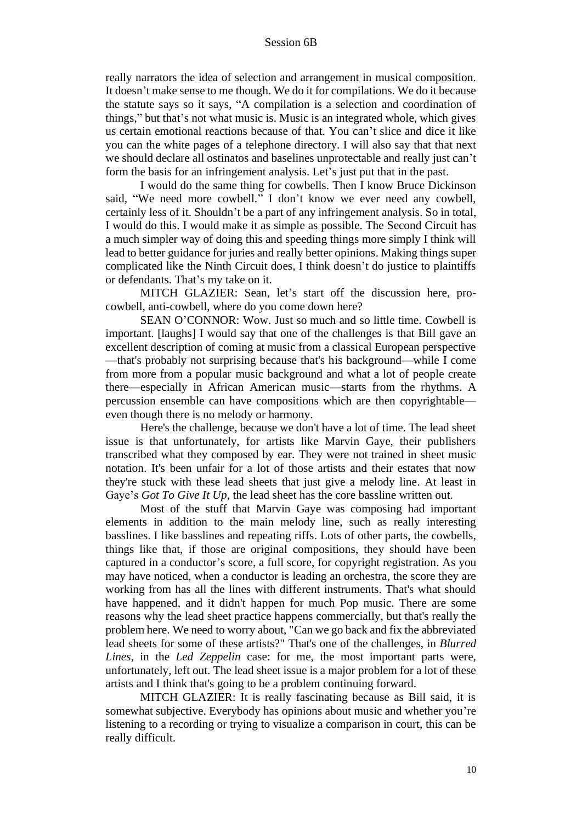really narrators the idea of selection and arrangement in musical composition. It doesn't make sense to me though. We do it for compilations. We do it because the statute says so it says, "A compilation is a selection and coordination of things," but that's not what music is. Music is an integrated whole, which gives us certain emotional reactions because of that. You can't slice and dice it like you can the white pages of a telephone directory. I will also say that that next we should declare all ostinatos and baselines unprotectable and really just can't form the basis for an infringement analysis. Let's just put that in the past.

I would do the same thing for cowbells. Then I know Bruce Dickinson said, "We need more cowbell." I don't know we ever need any cowbell, certainly less of it. Shouldn't be a part of any infringement analysis. So in total, I would do this. I would make it as simple as possible. The Second Circuit has a much simpler way of doing this and speeding things more simply I think will lead to better guidance for juries and really better opinions. Making things super complicated like the Ninth Circuit does, I think doesn't do justice to plaintiffs or defendants. That's my take on it.

MITCH GLAZIER: Sean, let's start off the discussion here, procowbell, anti-cowbell, where do you come down here?

SEAN O'CONNOR: Wow. Just so much and so little time. Cowbell is important. [laughs] I would say that one of the challenges is that Bill gave an excellent description of coming at music from a classical European perspective —that's probably not surprising because that's his background—while I come from more from a popular music background and what a lot of people create there—especially in African American music—starts from the rhythms. A percussion ensemble can have compositions which are then copyrightable even though there is no melody or harmony.

Here's the challenge, because we don't have a lot of time. The lead sheet issue is that unfortunately, for artists like Marvin Gaye, their publishers transcribed what they composed by ear. They were not trained in sheet music notation. It's been unfair for a lot of those artists and their estates that now they're stuck with these lead sheets that just give a melody line. At least in Gaye's *Got To Give It Up*, the lead sheet has the core bassline written out.

Most of the stuff that Marvin Gaye was composing had important elements in addition to the main melody line, such as really interesting basslines. I like basslines and repeating riffs. Lots of other parts, the cowbells, things like that, if those are original compositions, they should have been captured in a conductor's score, a full score, for copyright registration. As you may have noticed, when a conductor is leading an orchestra, the score they are working from has all the lines with different instruments. That's what should have happened, and it didn't happen for much Pop music. There are some reasons why the lead sheet practice happens commercially, but that's really the problem here. We need to worry about, "Can we go back and fix the abbreviated lead sheets for some of these artists?" That's one of the challenges, in *Blurred Lines*, in the *Led Zeppelin* case: for me, the most important parts were, unfortunately, left out. The lead sheet issue is a major problem for a lot of these artists and I think that's going to be a problem continuing forward.

MITCH GLAZIER: It is really fascinating because as Bill said, it is somewhat subjective. Everybody has opinions about music and whether you're listening to a recording or trying to visualize a comparison in court, this can be really difficult.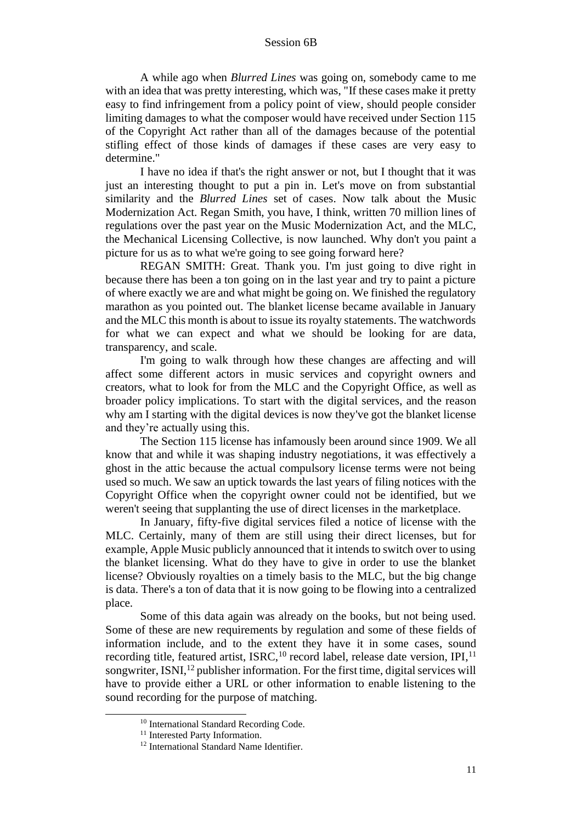A while ago when *Blurred Lines* was going on, somebody came to me with an idea that was pretty interesting, which was, "If these cases make it pretty easy to find infringement from a policy point of view, should people consider limiting damages to what the composer would have received under Section 115 of the Copyright Act rather than all of the damages because of the potential stifling effect of those kinds of damages if these cases are very easy to determine."

I have no idea if that's the right answer or not, but I thought that it was just an interesting thought to put a pin in. Let's move on from substantial similarity and the *Blurred Lines* set of cases. Now talk about the Music Modernization Act. Regan Smith, you have, I think, written 70 million lines of regulations over the past year on the Music Modernization Act, and the MLC, the Mechanical Licensing Collective, is now launched. Why don't you paint a picture for us as to what we're going to see going forward here?

REGAN SMITH: Great. Thank you. I'm just going to dive right in because there has been a ton going on in the last year and try to paint a picture of where exactly we are and what might be going on. We finished the regulatory marathon as you pointed out. The blanket license became available in January and the MLC this month is about to issue its royalty statements. The watchwords for what we can expect and what we should be looking for are data, transparency, and scale.

I'm going to walk through how these changes are affecting and will affect some different actors in music services and copyright owners and creators, what to look for from the MLC and the Copyright Office, as well as broader policy implications. To start with the digital services, and the reason why am I starting with the digital devices is now they've got the blanket license and they're actually using this.

The Section 115 license has infamously been around since 1909. We all know that and while it was shaping industry negotiations, it was effectively a ghost in the attic because the actual compulsory license terms were not being used so much. We saw an uptick towards the last years of filing notices with the Copyright Office when the copyright owner could not be identified, but we weren't seeing that supplanting the use of direct licenses in the marketplace.

In January, fifty-five digital services filed a notice of license with the MLC. Certainly, many of them are still using their direct licenses, but for example, Apple Music publicly announced that it intends to switch over to using the blanket licensing. What do they have to give in order to use the blanket license? Obviously royalties on a timely basis to the MLC, but the big change is data. There's a ton of data that it is now going to be flowing into a centralized place.

Some of this data again was already on the books, but not being used. Some of these are new requirements by regulation and some of these fields of information include, and to the extent they have it in some cases, sound recording title, featured artist, ISRC,<sup>10</sup> record label, release date version, IPI,<sup>11</sup> songwriter, ISNI $^{12}$  publisher information. For the first time, digital services will have to provide either a URL or other information to enable listening to the sound recording for the purpose of matching.

<sup>10</sup> International Standard Recording Code.

<sup>&</sup>lt;sup>11</sup> Interested Party Information.

<sup>&</sup>lt;sup>12</sup> International Standard Name Identifier.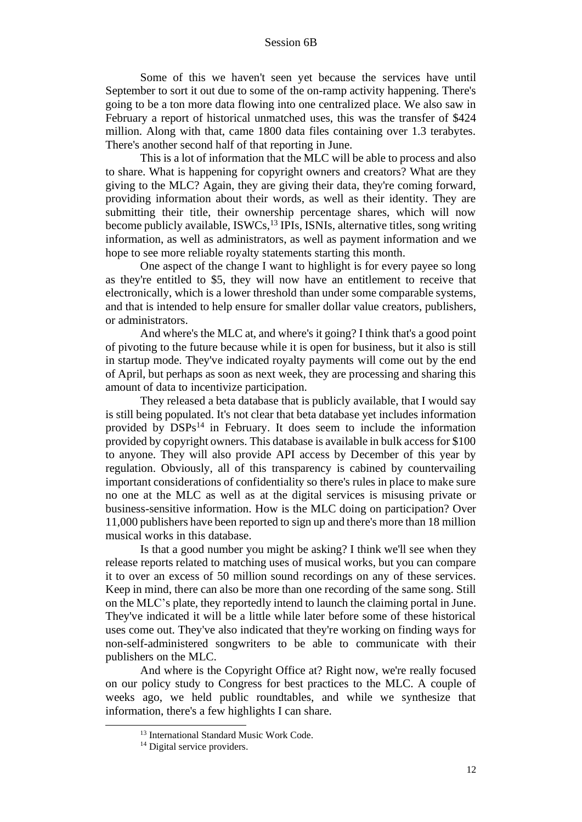Some of this we haven't seen yet because the services have until September to sort it out due to some of the on-ramp activity happening. There's going to be a ton more data flowing into one centralized place. We also saw in February a report of historical unmatched uses, this was the transfer of \$424 million. Along with that, came 1800 data files containing over 1.3 terabytes. There's another second half of that reporting in June.

This is a lot of information that the MLC will be able to process and also to share. What is happening for copyright owners and creators? What are they giving to the MLC? Again, they are giving their data, they're coming forward, providing information about their words, as well as their identity. They are submitting their title, their ownership percentage shares, which will now become publicly available, ISWCs,<sup>13</sup> IPIs, ISNIs, alternative titles, song writing information, as well as administrators, as well as payment information and we hope to see more reliable royalty statements starting this month.

One aspect of the change I want to highlight is for every payee so long as they're entitled to \$5, they will now have an entitlement to receive that electronically, which is a lower threshold than under some comparable systems, and that is intended to help ensure for smaller dollar value creators, publishers, or administrators.

And where's the MLC at, and where's it going? I think that's a good point of pivoting to the future because while it is open for business, but it also is still in startup mode. They've indicated royalty payments will come out by the end of April, but perhaps as soon as next week, they are processing and sharing this amount of data to incentivize participation.

They released a beta database that is publicly available, that I would say is still being populated. It's not clear that beta database yet includes information provided by DSPs<sup>14</sup> in February. It does seem to include the information provided by copyright owners. This database is available in bulk access for \$100 to anyone. They will also provide API access by December of this year by regulation. Obviously, all of this transparency is cabined by countervailing important considerations of confidentiality so there's rules in place to make sure no one at the MLC as well as at the digital services is misusing private or business-sensitive information. How is the MLC doing on participation? Over 11,000 publishers have been reported to sign up and there's more than 18 million musical works in this database.

Is that a good number you might be asking? I think we'll see when they release reports related to matching uses of musical works, but you can compare it to over an excess of 50 million sound recordings on any of these services. Keep in mind, there can also be more than one recording of the same song. Still on the MLC's plate, they reportedly intend to launch the claiming portal in June. They've indicated it will be a little while later before some of these historical uses come out. They've also indicated that they're working on finding ways for non-self-administered songwriters to be able to communicate with their publishers on the MLC.

And where is the Copyright Office at? Right now, we're really focused on our policy study to Congress for best practices to the MLC. A couple of weeks ago, we held public roundtables, and while we synthesize that information, there's a few highlights I can share.

<sup>&</sup>lt;sup>13</sup> International Standard Music Work Code.

<sup>&</sup>lt;sup>14</sup> Digital service providers.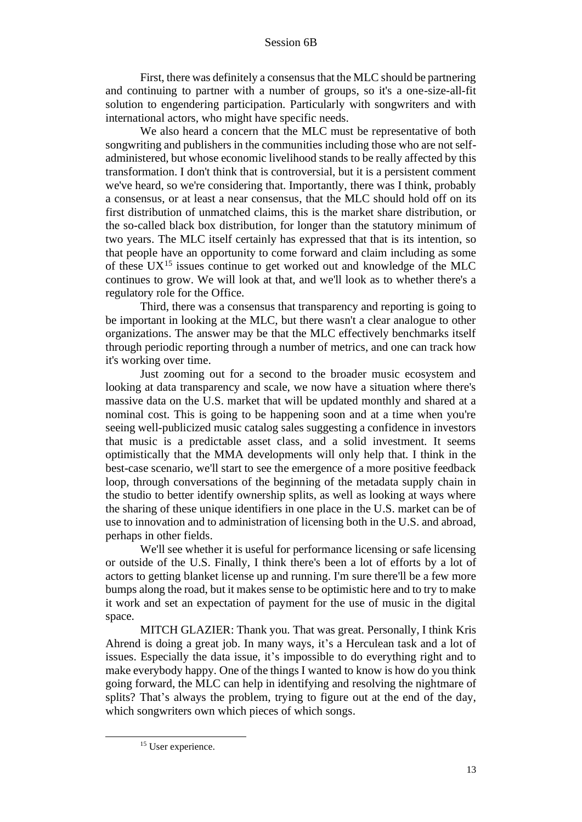First, there was definitely a consensus that the MLC should be partnering and continuing to partner with a number of groups, so it's a one-size-all-fit solution to engendering participation. Particularly with songwriters and with international actors, who might have specific needs.

We also heard a concern that the MLC must be representative of both songwriting and publishers in the communities including those who are not selfadministered, but whose economic livelihood stands to be really affected by this transformation. I don't think that is controversial, but it is a persistent comment we've heard, so we're considering that. Importantly, there was I think, probably a consensus, or at least a near consensus, that the MLC should hold off on its first distribution of unmatched claims, this is the market share distribution, or the so-called black box distribution, for longer than the statutory minimum of two years. The MLC itself certainly has expressed that that is its intention, so that people have an opportunity to come forward and claim including as some of these  $UX^{15}$  issues continue to get worked out and knowledge of the MLC continues to grow. We will look at that, and we'll look as to whether there's a regulatory role for the Office.

Third, there was a consensus that transparency and reporting is going to be important in looking at the MLC, but there wasn't a clear analogue to other organizations. The answer may be that the MLC effectively benchmarks itself through periodic reporting through a number of metrics, and one can track how it's working over time.

Just zooming out for a second to the broader music ecosystem and looking at data transparency and scale, we now have a situation where there's massive data on the U.S. market that will be updated monthly and shared at a nominal cost. This is going to be happening soon and at a time when you're seeing well-publicized music catalog sales suggesting a confidence in investors that music is a predictable asset class, and a solid investment. It seems optimistically that the MMA developments will only help that. I think in the best-case scenario, we'll start to see the emergence of a more positive feedback loop, through conversations of the beginning of the metadata supply chain in the studio to better identify ownership splits, as well as looking at ways where the sharing of these unique identifiers in one place in the U.S. market can be of use to innovation and to administration of licensing both in the U.S. and abroad, perhaps in other fields.

We'll see whether it is useful for performance licensing or safe licensing or outside of the U.S. Finally, I think there's been a lot of efforts by a lot of actors to getting blanket license up and running. I'm sure there'll be a few more bumps along the road, but it makes sense to be optimistic here and to try to make it work and set an expectation of payment for the use of music in the digital space.

MITCH GLAZIER: Thank you. That was great. Personally, I think Kris Ahrend is doing a great job. In many ways, it's a Herculean task and a lot of issues. Especially the data issue, it's impossible to do everything right and to make everybody happy. One of the things I wanted to know is how do you think going forward, the MLC can help in identifying and resolving the nightmare of splits? That's always the problem, trying to figure out at the end of the day, which songwriters own which pieces of which songs.

<sup>&</sup>lt;sup>15</sup> User experience.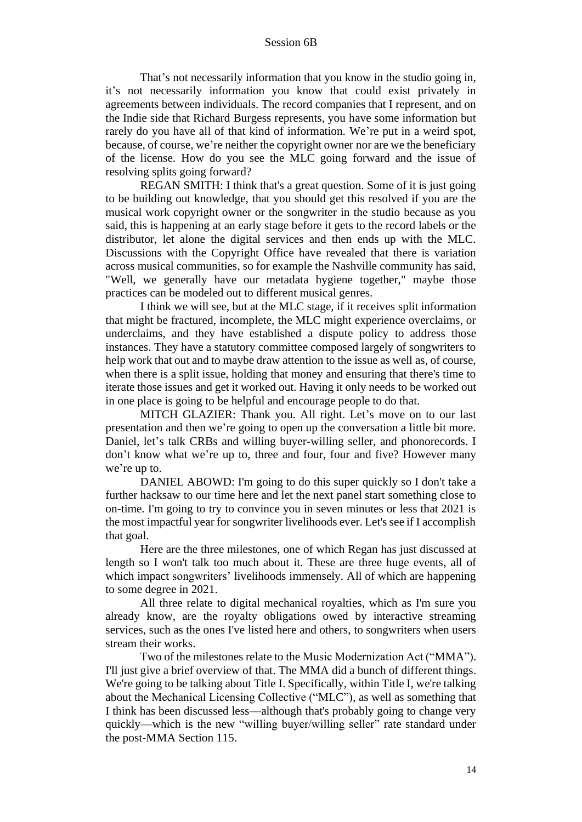That's not necessarily information that you know in the studio going in, it's not necessarily information you know that could exist privately in agreements between individuals. The record companies that I represent, and on the Indie side that Richard Burgess represents, you have some information but rarely do you have all of that kind of information. We're put in a weird spot, because, of course, we're neither the copyright owner nor are we the beneficiary of the license. How do you see the MLC going forward and the issue of resolving splits going forward?

REGAN SMITH: I think that's a great question. Some of it is just going to be building out knowledge, that you should get this resolved if you are the musical work copyright owner or the songwriter in the studio because as you said, this is happening at an early stage before it gets to the record labels or the distributor, let alone the digital services and then ends up with the MLC. Discussions with the Copyright Office have revealed that there is variation across musical communities, so for example the Nashville community has said, "Well, we generally have our metadata hygiene together," maybe those practices can be modeled out to different musical genres.

I think we will see, but at the MLC stage, if it receives split information that might be fractured, incomplete, the MLC might experience overclaims, or underclaims, and they have established a dispute policy to address those instances. They have a statutory committee composed largely of songwriters to help work that out and to maybe draw attention to the issue as well as, of course, when there is a split issue, holding that money and ensuring that there's time to iterate those issues and get it worked out. Having it only needs to be worked out in one place is going to be helpful and encourage people to do that.

MITCH GLAZIER: Thank you. All right. Let's move on to our last presentation and then we're going to open up the conversation a little bit more. Daniel, let's talk CRBs and willing buyer-willing seller, and phonorecords. I don't know what we're up to, three and four, four and five? However many we're up to.

DANIEL ABOWD: I'm going to do this super quickly so I don't take a further hacksaw to our time here and let the next panel start something close to on-time. I'm going to try to convince you in seven minutes or less that 2021 is the most impactful year for songwriter livelihoods ever. Let's see if I accomplish that goal.

Here are the three milestones, one of which Regan has just discussed at length so I won't talk too much about it. These are three huge events, all of which impact songwriters' livelihoods immensely. All of which are happening to some degree in 2021.

All three relate to digital mechanical royalties, which as I'm sure you already know, are the royalty obligations owed by interactive streaming services, such as the ones I've listed here and others, to songwriters when users stream their works.

Two of the milestones relate to the Music Modernization Act ("MMA"). I'll just give a brief overview of that. The MMA did a bunch of different things. We're going to be talking about Title I. Specifically, within Title I, we're talking about the Mechanical Licensing Collective ("MLC"), as well as something that I think has been discussed less—although that's probably going to change very quickly—which is the new "willing buyer/willing seller" rate standard under the post-MMA Section 115.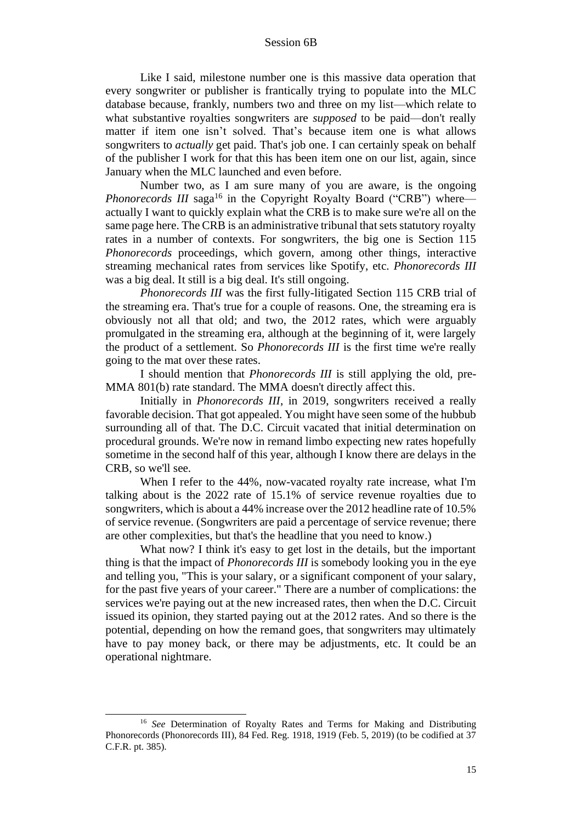Like I said, milestone number one is this massive data operation that every songwriter or publisher is frantically trying to populate into the MLC database because, frankly, numbers two and three on my list—which relate to what substantive royalties songwriters are *supposed* to be paid—don't really matter if item one isn't solved. That's because item one is what allows songwriters to *actually* get paid. That's job one. I can certainly speak on behalf of the publisher I work for that this has been item one on our list, again, since January when the MLC launched and even before.

Number two, as I am sure many of you are aware, is the ongoing *Phonorecords III* saga<sup>16</sup> in the Copyright Royalty Board ("CRB") where actually I want to quickly explain what the CRB is to make sure we're all on the same page here. The CRB is an administrative tribunal that sets statutory royalty rates in a number of contexts. For songwriters, the big one is Section 115 *Phonorecords* proceedings, which govern, among other things, interactive streaming mechanical rates from services like Spotify, etc. *Phonorecords III* was a big deal. It still is a big deal. It's still ongoing.

*Phonorecords III* was the first fully-litigated Section 115 CRB trial of the streaming era. That's true for a couple of reasons. One, the streaming era is obviously not all that old; and two, the 2012 rates, which were arguably promulgated in the streaming era, although at the beginning of it, were largely the product of a settlement. So *Phonorecords III* is the first time we're really going to the mat over these rates.

I should mention that *Phonorecords III* is still applying the old, pre-MMA 801(b) rate standard. The MMA doesn't directly affect this.

Initially in *Phonorecords III*, in 2019, songwriters received a really favorable decision. That got appealed. You might have seen some of the hubbub surrounding all of that. The D.C. Circuit vacated that initial determination on procedural grounds. We're now in remand limbo expecting new rates hopefully sometime in the second half of this year, although I know there are delays in the CRB, so we'll see.

When I refer to the 44%, now-vacated royalty rate increase, what I'm talking about is the 2022 rate of 15.1% of service revenue royalties due to songwriters, which is about a 44% increase over the 2012 headline rate of 10.5% of service revenue. (Songwriters are paid a percentage of service revenue; there are other complexities, but that's the headline that you need to know.)

What now? I think it's easy to get lost in the details, but the important thing is that the impact of *Phonorecords III* is somebody looking you in the eye and telling you, "This is your salary, or a significant component of your salary, for the past five years of your career." There are a number of complications: the services we're paying out at the new increased rates, then when the D.C. Circuit issued its opinion, they started paying out at the 2012 rates. And so there is the potential, depending on how the remand goes, that songwriters may ultimately have to pay money back, or there may be adjustments, etc. It could be an operational nightmare.

<sup>16</sup> *See* Determination of Royalty Rates and Terms for Making and Distributing Phonorecords (Phonorecords III), 84 Fed. Reg. 1918, 1919 (Feb. 5, 2019) (to be codified at 37 C.F.R. pt. 385).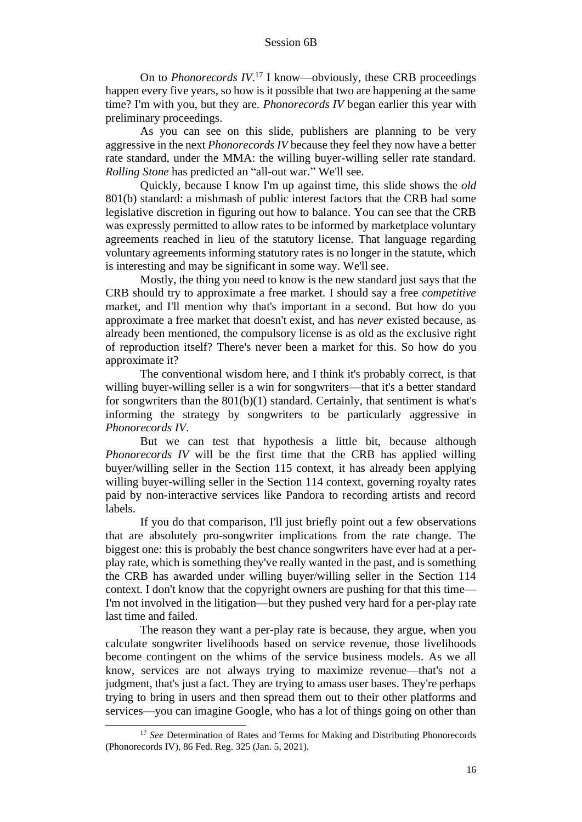On to *Phonorecords IV*. <sup>17</sup> I know—obviously, these CRB proceedings happen every five years, so how is it possible that two are happening at the same time? I'm with you, but they are. *Phonorecords IV* began earlier this year with preliminary proceedings.

As you can see on this slide, publishers are planning to be very aggressive in the next *Phonorecords IV* because they feel they now have a better rate standard, under the MMA: the willing buyer-willing seller rate standard. *Rolling Stone* has predicted an "all-out war." We'll see.

Quickly, because I know I'm up against time, this slide shows the *old* 801(b) standard: a mishmash of public interest factors that the CRB had some legislative discretion in figuring out how to balance. You can see that the CRB was expressly permitted to allow rates to be informed by marketplace voluntary agreements reached in lieu of the statutory license. That language regarding voluntary agreements informing statutory rates is no longer in the statute, which is interesting and may be significant in some way. We'll see.

Mostly, the thing you need to know is the new standard just says that the CRB should try to approximate a free market. I should say a free *competitive* market, and I'll mention why that's important in a second. But how do you approximate a free market that doesn't exist, and has *never* existed because, as already been mentioned, the compulsory license is as old as the exclusive right of reproduction itself? There's never been a market for this. So how do you approximate it?

The conventional wisdom here, and I think it's probably correct, is that willing buyer-willing seller is a win for songwriters—that it's a better standard for songwriters than the  $801(b)(1)$  standard. Certainly, that sentiment is what's informing the strategy by songwriters to be particularly aggressive in *Phonorecords IV*.

But we can test that hypothesis a little bit, because although *Phonorecords IV* will be the first time that the CRB has applied willing buyer/willing seller in the Section 115 context, it has already been applying willing buyer-willing seller in the Section 114 context, governing royalty rates paid by non-interactive services like Pandora to recording artists and record labels.

If you do that comparison, I'll just briefly point out a few observations that are absolutely pro-songwriter implications from the rate change. The biggest one: this is probably the best chance songwriters have ever had at a perplay rate, which is something they've really wanted in the past, and is something the CRB has awarded under willing buyer/willing seller in the Section 114 context. I don't know that the copyright owners are pushing for that this time— I'm not involved in the litigation—but they pushed very hard for a per-play rate last time and failed.

The reason they want a per-play rate is because, they argue, when you calculate songwriter livelihoods based on service revenue, those livelihoods become contingent on the whims of the service business models. As we all know, services are not always trying to maximize revenue—that's not a judgment, that's just a fact. They are trying to amass user bases. They're perhaps trying to bring in users and then spread them out to their other platforms and services—you can imagine Google, who has a lot of things going on other than

<sup>&</sup>lt;sup>17</sup> *See* Determination of Rates and Terms for Making and Distributing Phonorecords (Phonorecords IV), 86 Fed. Reg. 325 (Jan. 5, 2021).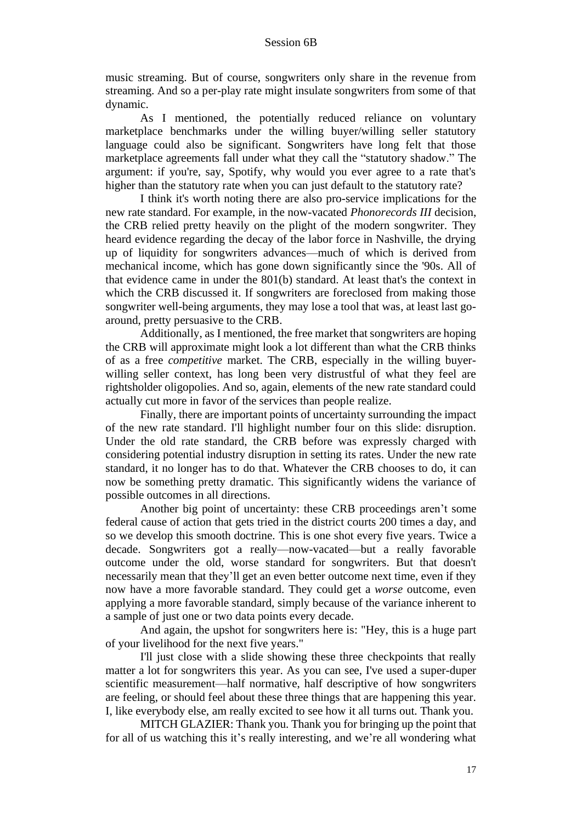music streaming. But of course, songwriters only share in the revenue from streaming. And so a per-play rate might insulate songwriters from some of that dynamic.

As I mentioned, the potentially reduced reliance on voluntary marketplace benchmarks under the willing buyer/willing seller statutory language could also be significant. Songwriters have long felt that those marketplace agreements fall under what they call the "statutory shadow." The argument: if you're, say, Spotify, why would you ever agree to a rate that's higher than the statutory rate when you can just default to the statutory rate?

I think it's worth noting there are also pro-service implications for the new rate standard. For example, in the now-vacated *Phonorecords III* decision, the CRB relied pretty heavily on the plight of the modern songwriter. They heard evidence regarding the decay of the labor force in Nashville, the drying up of liquidity for songwriters advances—much of which is derived from mechanical income, which has gone down significantly since the '90s. All of that evidence came in under the 801(b) standard. At least that's the context in which the CRB discussed it. If songwriters are foreclosed from making those songwriter well-being arguments, they may lose a tool that was, at least last goaround, pretty persuasive to the CRB.

Additionally, as I mentioned, the free market that songwriters are hoping the CRB will approximate might look a lot different than what the CRB thinks of as a free *competitive* market. The CRB, especially in the willing buyerwilling seller context, has long been very distrustful of what they feel are rightsholder oligopolies. And so, again, elements of the new rate standard could actually cut more in favor of the services than people realize.

Finally, there are important points of uncertainty surrounding the impact of the new rate standard. I'll highlight number four on this slide: disruption. Under the old rate standard, the CRB before was expressly charged with considering potential industry disruption in setting its rates. Under the new rate standard, it no longer has to do that. Whatever the CRB chooses to do, it can now be something pretty dramatic. This significantly widens the variance of possible outcomes in all directions.

Another big point of uncertainty: these CRB proceedings aren't some federal cause of action that gets tried in the district courts 200 times a day, and so we develop this smooth doctrine. This is one shot every five years. Twice a decade. Songwriters got a really—now-vacated—but a really favorable outcome under the old, worse standard for songwriters. But that doesn't necessarily mean that they'll get an even better outcome next time, even if they now have a more favorable standard. They could get a *worse* outcome, even applying a more favorable standard, simply because of the variance inherent to a sample of just one or two data points every decade.

And again, the upshot for songwriters here is: "Hey, this is a huge part of your livelihood for the next five years."

I'll just close with a slide showing these three checkpoints that really matter a lot for songwriters this year. As you can see, I've used a super-duper scientific measurement—half normative, half descriptive of how songwriters are feeling, or should feel about these three things that are happening this year. I, like everybody else, am really excited to see how it all turns out. Thank you.

MITCH GLAZIER: Thank you. Thank you for bringing up the point that for all of us watching this it's really interesting, and we're all wondering what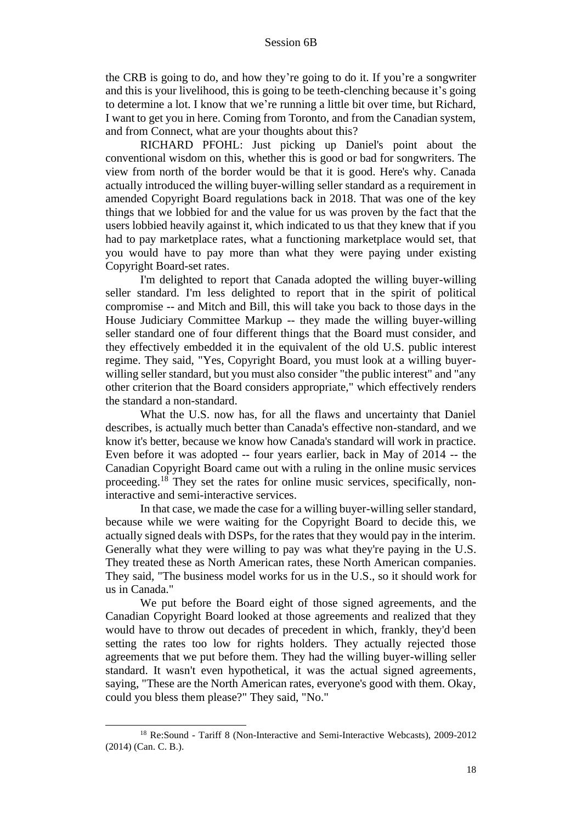the CRB is going to do, and how they're going to do it. If you're a songwriter and this is your livelihood, this is going to be teeth-clenching because it's going to determine a lot. I know that we're running a little bit over time, but Richard, I want to get you in here. Coming from Toronto, and from the Canadian system, and from Connect, what are your thoughts about this?

RICHARD PFOHL: Just picking up Daniel's point about the conventional wisdom on this, whether this is good or bad for songwriters. The view from north of the border would be that it is good. Here's why. Canada actually introduced the willing buyer-willing seller standard as a requirement in amended Copyright Board regulations back in 2018. That was one of the key things that we lobbied for and the value for us was proven by the fact that the users lobbied heavily against it, which indicated to us that they knew that if you had to pay marketplace rates, what a functioning marketplace would set, that you would have to pay more than what they were paying under existing Copyright Board-set rates.

I'm delighted to report that Canada adopted the willing buyer-willing seller standard. I'm less delighted to report that in the spirit of political compromise -- and Mitch and Bill, this will take you back to those days in the House Judiciary Committee Markup -- they made the willing buyer-willing seller standard one of four different things that the Board must consider, and they effectively embedded it in the equivalent of the old U.S. public interest regime. They said, "Yes, Copyright Board, you must look at a willing buyerwilling seller standard, but you must also consider "the public interest" and "any other criterion that the Board considers appropriate," which effectively renders the standard a non-standard.

What the U.S. now has, for all the flaws and uncertainty that Daniel describes, is actually much better than Canada's effective non-standard, and we know it's better, because we know how Canada's standard will work in practice. Even before it was adopted -- four years earlier, back in May of 2014 -- the Canadian Copyright Board came out with a ruling in the online music services proceeding.<sup>18</sup> They set the rates for online music services, specifically, noninteractive and semi-interactive services.

In that case, we made the case for a willing buyer-willing seller standard, because while we were waiting for the Copyright Board to decide this, we actually signed deals with DSPs, for the rates that they would pay in the interim. Generally what they were willing to pay was what they're paying in the U.S. They treated these as North American rates, these North American companies. They said, "The business model works for us in the U.S., so it should work for us in Canada."

We put before the Board eight of those signed agreements, and the Canadian Copyright Board looked at those agreements and realized that they would have to throw out decades of precedent in which, frankly, they'd been setting the rates too low for rights holders. They actually rejected those agreements that we put before them. They had the willing buyer-willing seller standard. It wasn't even hypothetical, it was the actual signed agreements, saying, "These are the North American rates, everyone's good with them. Okay, could you bless them please?" They said, "No."

<sup>18</sup> Re:Sound - Tariff 8 (Non-Interactive and Semi-Interactive Webcasts), 2009-2012 (2014) (Can. C. B.).